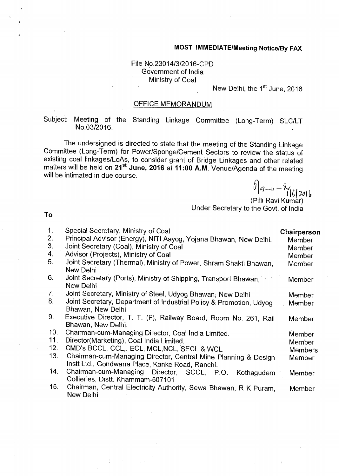#### **MOST IMMEDIATE/Meeting Notice/By FAX**

# File No.23014/3/2016-CPD Government of India Ministry of Coal

New Delhi, the 1<sup>st</sup> June, 2016

## OFFICE MEMORANDUM

Subject: Meeting of the Standing Linkage Committee (Long-Term) SLC/LT No.03/2016.

The undersigned is directed to state that the meeting of the Standing Linkage Committee (Long-Term) for Power/Sponge/Cement Sectors to review the status of existing coal linkages/LoAs, to consider grant of Bridge Linkages and other related matters will be held on 21<sup>st</sup> June, 2016 at 11:00 A.M. Venue/Agenda of the meeting will be intimated in due course.

 $116$ |2016

(Pilli Ravi Kumar) Under Secretary to the Govt. of India

**To** 

| 1.<br>2.<br>3.<br>4. | Special Secretary, Ministry of Coal<br>Principal Advisor (Energy), NITI Aayog, Yojana Bhawan, New Delhi.<br>Joint Secretary (Coal), Ministry of Coal | Chairperson<br>Member<br>Member |
|----------------------|------------------------------------------------------------------------------------------------------------------------------------------------------|---------------------------------|
|                      | Advisor (Projects), Ministry of Coal                                                                                                                 | Member                          |
| 5.                   | Joint Secretary (Thermal), Ministry of Power, Shram Shakti Bhawan,<br>New Delhi                                                                      | Member                          |
| 6.                   | Joint Secretary (Ports), Ministry of Shipping, Transport Bhawan,<br>New Delhi                                                                        | Member                          |
| 7.                   | Joint Secretary, Ministry of Steel, Udyog Bhawan, New Delhi                                                                                          | Member                          |
| 8.                   | Joint Secretary, Department of Industrial Policy & Promotion, Udyog                                                                                  | Member                          |
|                      | Bhawan, New Delhi                                                                                                                                    |                                 |
| 9.                   | Executive Director, T. T. (F), Railway Board, Room No. 261, Rail<br>Bhawan, New Delhi.                                                               | Member                          |
| 10.                  | Chairman-cum-Managing Director, Coal India Limited.                                                                                                  | Member                          |
| 11.                  | Director(Marketing), Coal India Limited.                                                                                                             | Member                          |
| 12.                  | CMD's BCCL, CCL,. ECL, MCL, NCL, SECL & WCL                                                                                                          | <b>Members</b>                  |
| 13.                  | Chairman-cum-Managing Director, Central Mine Planning & Design                                                                                       | Member                          |
|                      | Instt Ltd., Gondwana Place, Kanke Road, Ranchi.                                                                                                      |                                 |
| 14.                  | Chairman-cum-Managing Director, SCCL, P.O.<br>Kothagudem                                                                                             | Member                          |
|                      | Collieries, Distt. Khammam-507101                                                                                                                    |                                 |
| 15.                  | Chairman, Central Electricity Authority, Sewa Bhawan, R K Puram,<br>New Delhi                                                                        | Member                          |

1010